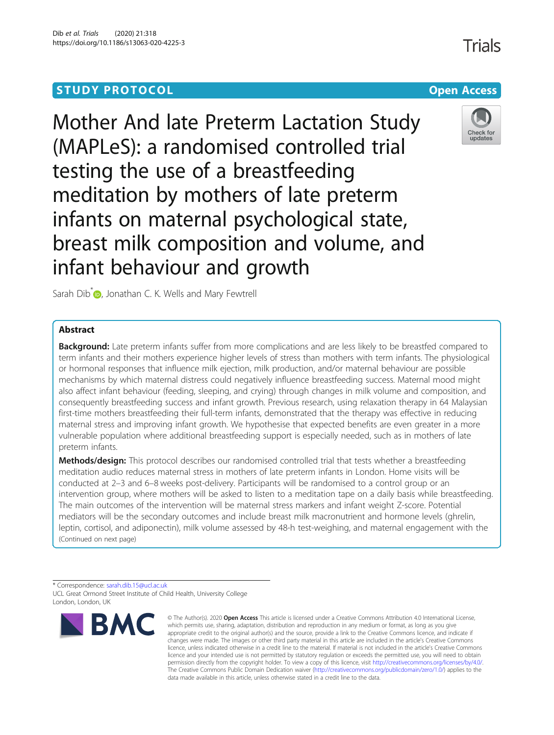# **STUDY PROTOCOL CONSUMING THE CONSUMING OPEN ACCESS**



Sarah Dib<sup>[\\*](http://orcid.org/0000-0001-8603-1833)</sup> **D**, Jonathan C. K. Wells and Mary Fewtrell

# Abstract

**Background:** Late preterm infants suffer from more complications and are less likely to be breastfed compared to term infants and their mothers experience higher levels of stress than mothers with term infants. The physiological or hormonal responses that influence milk ejection, milk production, and/or maternal behaviour are possible mechanisms by which maternal distress could negatively influence breastfeeding success. Maternal mood might also affect infant behaviour (feeding, sleeping, and crying) through changes in milk volume and composition, and consequently breastfeeding success and infant growth. Previous research, using relaxation therapy in 64 Malaysian first-time mothers breastfeeding their full-term infants, demonstrated that the therapy was effective in reducing maternal stress and improving infant growth. We hypothesise that expected benefits are even greater in a more vulnerable population where additional breastfeeding support is especially needed, such as in mothers of late preterm infants.

Methods/design: This protocol describes our randomised controlled trial that tests whether a breastfeeding meditation audio reduces maternal stress in mothers of late preterm infants in London. Home visits will be conducted at 2–3 and 6–8 weeks post-delivery. Participants will be randomised to a control group or an intervention group, where mothers will be asked to listen to a meditation tape on a daily basis while breastfeeding. The main outcomes of the intervention will be maternal stress markers and infant weight Z-score. Potential mediators will be the secondary outcomes and include breast milk macronutrient and hormone levels (ghrelin, leptin, cortisol, and adiponectin), milk volume assessed by 48-h test-weighing, and maternal engagement with the (Continued on next page)

<sup>\*</sup> Correspondence: [sarah.dib.15@ucl.ac.uk](mailto:sarah.dib.15@ucl.ac.uk) UCL Great Ormond Street Institute of Child Health, University College London, London, UK



<sup>©</sup> The Author(s), 2020 **Open Access** This article is licensed under a Creative Commons Attribution 4.0 International License, which permits use, sharing, adaptation, distribution and reproduction in any medium or format, as long as you give appropriate credit to the original author(s) and the source, provide a link to the Creative Commons licence, and indicate if changes were made. The images or other third party material in this article are included in the article's Creative Commons licence, unless indicated otherwise in a credit line to the material. If material is not included in the article's Creative Commons licence and your intended use is not permitted by statutory regulation or exceeds the permitted use, you will need to obtain permission directly from the copyright holder. To view a copy of this licence, visit [http://creativecommons.org/licenses/by/4.0/.](http://creativecommons.org/licenses/by/4.0/) The Creative Commons Public Domain Dedication waiver [\(http://creativecommons.org/publicdomain/zero/1.0/](http://creativecommons.org/publicdomain/zero/1.0/)) applies to the data made available in this article, unless otherwise stated in a credit line to the data.

Check for updates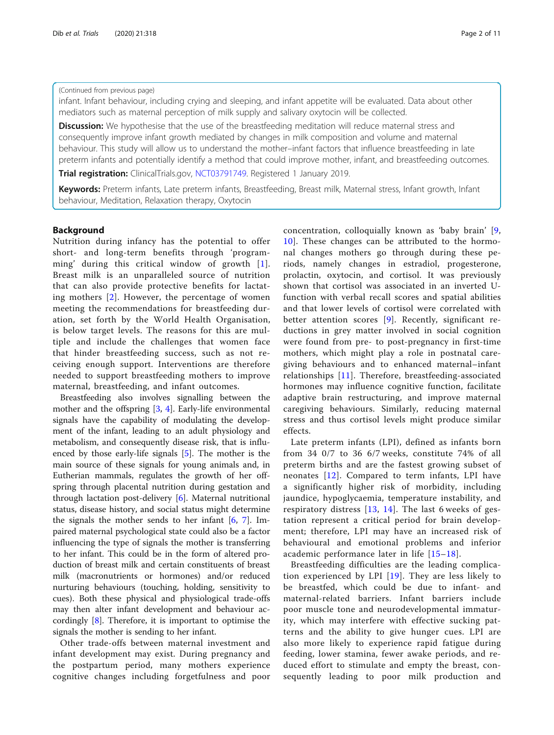# (Continued from previous page)

infant. Infant behaviour, including crying and sleeping, and infant appetite will be evaluated. Data about other mediators such as maternal perception of milk supply and salivary oxytocin will be collected.

**Discussion:** We hypothesise that the use of the breastfeeding meditation will reduce maternal stress and consequently improve infant growth mediated by changes in milk composition and volume and maternal behaviour. This study will allow us to understand the mother–infant factors that influence breastfeeding in late preterm infants and potentially identify a method that could improve mother, infant, and breastfeeding outcomes.

Trial registration: ClinicalTrials.gov, [NCT03791749.](https://clinicaltrials.gov/ct2/show/NCT03791749) Registered 1 January 2019.

Keywords: Preterm infants, Late preterm infants, Breastfeeding, Breast milk, Maternal stress, Infant growth, Infant behaviour, Meditation, Relaxation therapy, Oxytocin

### Background

Nutrition during infancy has the potential to offer short- and long-term benefits through 'programming' during this critical window of growth [[1\]](#page-9-0). Breast milk is an unparalleled source of nutrition that can also provide protective benefits for lactating mothers [[2\]](#page-9-0). However, the percentage of women meeting the recommendations for breastfeeding duration, set forth by the World Health Organisation, is below target levels. The reasons for this are multiple and include the challenges that women face that hinder breastfeeding success, such as not receiving enough support. Interventions are therefore needed to support breastfeeding mothers to improve maternal, breastfeeding, and infant outcomes.

Breastfeeding also involves signalling between the mother and the offspring [\[3](#page-9-0), [4\]](#page-9-0). Early-life environmental signals have the capability of modulating the development of the infant, leading to an adult physiology and metabolism, and consequently disease risk, that is influenced by those early-life signals [\[5](#page-9-0)]. The mother is the main source of these signals for young animals and, in Eutherian mammals, regulates the growth of her offspring through placental nutrition during gestation and through lactation post-delivery [[6\]](#page-9-0). Maternal nutritional status, disease history, and social status might determine the signals the mother sends to her infant [[6,](#page-9-0) [7](#page-9-0)]. Impaired maternal psychological state could also be a factor influencing the type of signals the mother is transferring to her infant. This could be in the form of altered production of breast milk and certain constituents of breast milk (macronutrients or hormones) and/or reduced nurturing behaviours (touching, holding, sensitivity to cues). Both these physical and physiological trade-offs may then alter infant development and behaviour accordingly [[8\]](#page-9-0). Therefore, it is important to optimise the signals the mother is sending to her infant.

Other trade-offs between maternal investment and infant development may exist. During pregnancy and the postpartum period, many mothers experience cognitive changes including forgetfulness and poor concentration, colloquially known as 'baby brain' [\[9](#page-9-0), [10\]](#page-9-0). These changes can be attributed to the hormonal changes mothers go through during these periods, namely changes in estradiol, progesterone, prolactin, oxytocin, and cortisol. It was previously shown that cortisol was associated in an inverted Ufunction with verbal recall scores and spatial abilities and that lower levels of cortisol were correlated with better attention scores [[9\]](#page-9-0). Recently, significant reductions in grey matter involved in social cognition were found from pre- to post-pregnancy in first-time mothers, which might play a role in postnatal caregiving behaviours and to enhanced maternal–infant relationships [[11\]](#page-9-0). Therefore, breastfeeding-associated hormones may influence cognitive function, facilitate adaptive brain restructuring, and improve maternal caregiving behaviours. Similarly, reducing maternal stress and thus cortisol levels might produce similar effects.

Late preterm infants (LPI), defined as infants born from 34 0/7 to 36 6/7 weeks, constitute 74% of all preterm births and are the fastest growing subset of neonates [\[12\]](#page-9-0). Compared to term infants, LPI have a significantly higher risk of morbidity, including jaundice, hypoglycaemia, temperature instability, and respiratory distress [\[13,](#page-9-0) [14](#page-9-0)]. The last 6 weeks of gestation represent a critical period for brain development; therefore, LPI may have an increased risk of behavioural and emotional problems and inferior academic performance later in life [\[15](#page-9-0)–[18](#page-9-0)].

Breastfeeding difficulties are the leading complication experienced by LPI  $[19]$  $[19]$ . They are less likely to be breastfed, which could be due to infant- and maternal-related barriers. Infant barriers include poor muscle tone and neurodevelopmental immaturity, which may interfere with effective sucking patterns and the ability to give hunger cues. LPI are also more likely to experience rapid fatigue during feeding, lower stamina, fewer awake periods, and reduced effort to stimulate and empty the breast, consequently leading to poor milk production and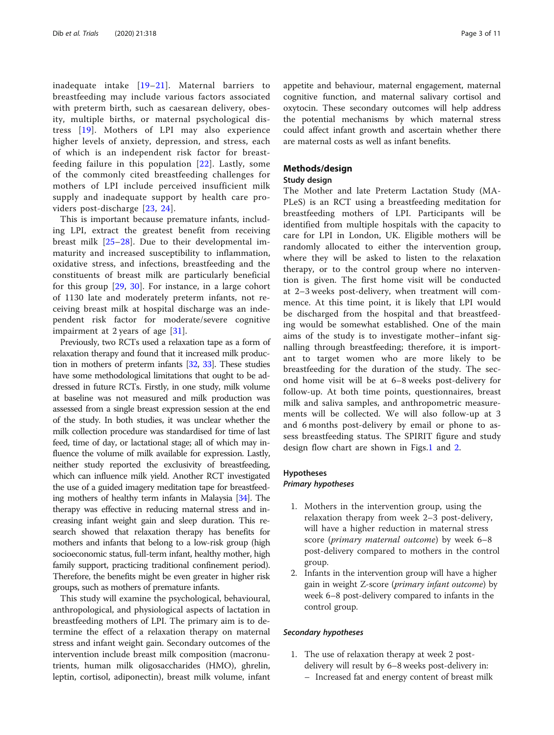inadequate intake [[19](#page-9-0)–[21\]](#page-9-0). Maternal barriers to breastfeeding may include various factors associated with preterm birth, such as caesarean delivery, obesity, multiple births, or maternal psychological distress [[19](#page-9-0)]. Mothers of LPI may also experience higher levels of anxiety, depression, and stress, each of which is an independent risk factor for breastfeeding failure in this population [[22\]](#page-9-0). Lastly, some of the commonly cited breastfeeding challenges for mothers of LPI include perceived insufficient milk supply and inadequate support by health care providers post-discharge [\[23,](#page-9-0) [24](#page-9-0)].

This is important because premature infants, including LPI, extract the greatest benefit from receiving breast milk [[25](#page-9-0)–[28\]](#page-9-0). Due to their developmental immaturity and increased susceptibility to inflammation, oxidative stress, and infections, breastfeeding and the constituents of breast milk are particularly beneficial for this group [[29,](#page-9-0) [30](#page-9-0)]. For instance, in a large cohort of 1130 late and moderately preterm infants, not receiving breast milk at hospital discharge was an independent risk factor for moderate/severe cognitive impairment at 2 years of age [[31\]](#page-9-0).

Previously, two RCTs used a relaxation tape as a form of relaxation therapy and found that it increased milk production in mothers of preterm infants [\[32](#page-9-0), [33\]](#page-9-0). These studies have some methodological limitations that ought to be addressed in future RCTs. Firstly, in one study, milk volume at baseline was not measured and milk production was assessed from a single breast expression session at the end of the study. In both studies, it was unclear whether the milk collection procedure was standardised for time of last feed, time of day, or lactational stage; all of which may influence the volume of milk available for expression. Lastly, neither study reported the exclusivity of breastfeeding, which can influence milk yield. Another RCT investigated the use of a guided imagery meditation tape for breastfeeding mothers of healthy term infants in Malaysia [[34\]](#page-9-0). The therapy was effective in reducing maternal stress and increasing infant weight gain and sleep duration. This research showed that relaxation therapy has benefits for mothers and infants that belong to a low-risk group (high socioeconomic status, full-term infant, healthy mother, high family support, practicing traditional confinement period). Therefore, the benefits might be even greater in higher risk groups, such as mothers of premature infants.

This study will examine the psychological, behavioural, anthropological, and physiological aspects of lactation in breastfeeding mothers of LPI. The primary aim is to determine the effect of a relaxation therapy on maternal stress and infant weight gain. Secondary outcomes of the intervention include breast milk composition (macronutrients, human milk oligosaccharides (HMO), ghrelin, leptin, cortisol, adiponectin), breast milk volume, infant appetite and behaviour, maternal engagement, maternal cognitive function, and maternal salivary cortisol and oxytocin. These secondary outcomes will help address the potential mechanisms by which maternal stress could affect infant growth and ascertain whether there are maternal costs as well as infant benefits.

# Methods/design

### Study design

The Mother and late Preterm Lactation Study (MA-PLeS) is an RCT using a breastfeeding meditation for breastfeeding mothers of LPI. Participants will be identified from multiple hospitals with the capacity to care for LPI in London, UK. Eligible mothers will be randomly allocated to either the intervention group, where they will be asked to listen to the relaxation therapy, or to the control group where no intervention is given. The first home visit will be conducted at 2–3 weeks post-delivery, when treatment will commence. At this time point, it is likely that LPI would be discharged from the hospital and that breastfeeding would be somewhat established. One of the main aims of the study is to investigate mother–infant signalling through breastfeeding; therefore, it is important to target women who are more likely to be breastfeeding for the duration of the study. The second home visit will be at 6–8 weeks post-delivery for follow-up. At both time points, questionnaires, breast milk and saliva samples, and anthropometric measurements will be collected. We will also follow-up at 3 and 6 months post-delivery by email or phone to assess breastfeeding status. The SPIRIT figure and study design flow chart are shown in Figs.[1](#page-3-0) and [2.](#page-4-0)

### Hypotheses

### Primary hypotheses

- 1. Mothers in the intervention group, using the relaxation therapy from week 2–3 post-delivery, will have a higher reduction in maternal stress score (primary maternal outcome) by week 6–8 post-delivery compared to mothers in the control group.
- 2. Infants in the intervention group will have a higher gain in weight Z-score (primary infant outcome) by week 6–8 post-delivery compared to infants in the control group.

# Secondary hypotheses

- 1. The use of relaxation therapy at week 2 postdelivery will result by 6–8 weeks post-delivery in:
	- Increased fat and energy content of breast milk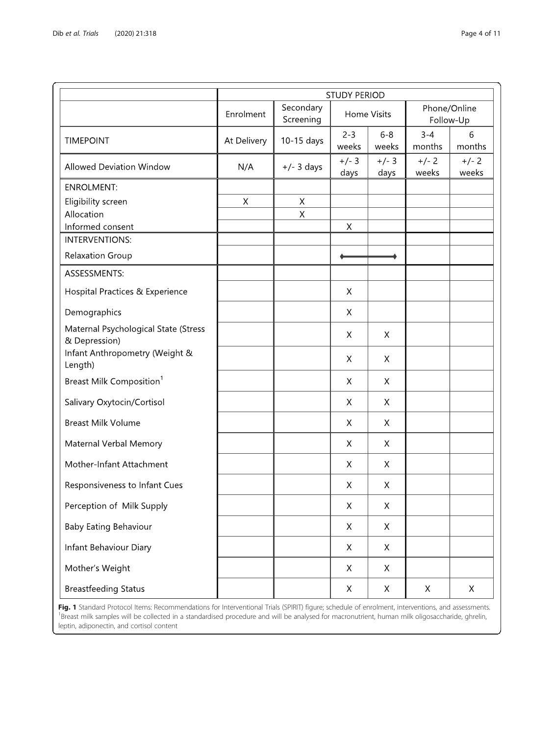<span id="page-3-0"></span>

|                                                       | <b>STUDY PERIOD</b> |                        |                  |                                          |                   |                  |
|-------------------------------------------------------|---------------------|------------------------|------------------|------------------------------------------|-------------------|------------------|
|                                                       | Enrolment           | Secondary<br>Screening |                  | Phone/Online<br>Home Visits<br>Follow-Up |                   |                  |
| <b>TIMEPOINT</b>                                      | At Delivery         | 10-15 days             | $2 - 3$<br>weeks | $6 - 8$<br>weeks                         | $3 - 4$<br>months | 6<br>months      |
| <b>Allowed Deviation Window</b>                       | N/A                 | $+/- 3$ days           | $+/- 3$<br>days  | $+/- 3$<br>days                          | $+/- 2$<br>weeks  | $+/- 2$<br>weeks |
| <b>ENROLMENT:</b>                                     |                     |                        |                  |                                          |                   |                  |
| Eligibility screen                                    | $\mathsf X$         | Χ                      |                  |                                          |                   |                  |
| Allocation                                            |                     | X                      |                  |                                          |                   |                  |
| Informed consent                                      |                     |                        | X                |                                          |                   |                  |
| <b>INTERVENTIONS:</b>                                 |                     |                        |                  |                                          |                   |                  |
| Relaxation Group                                      |                     |                        |                  |                                          |                   |                  |
| ASSESSMENTS:                                          |                     |                        |                  |                                          |                   |                  |
| Hospital Practices & Experience                       |                     |                        | X                |                                          |                   |                  |
| Demographics                                          |                     |                        | X                |                                          |                   |                  |
| Maternal Psychological State (Stress<br>& Depression) |                     |                        | X                | X                                        |                   |                  |
| Infant Anthropometry (Weight &<br>Length)             |                     |                        | X                | X                                        |                   |                  |
| Breast Milk Composition <sup>1</sup>                  |                     |                        | X                | X                                        |                   |                  |
| Salivary Oxytocin/Cortisol                            |                     |                        | X                | X                                        |                   |                  |
| <b>Breast Milk Volume</b>                             |                     |                        | X                | X                                        |                   |                  |
| Maternal Verbal Memory                                |                     |                        | X                | X                                        |                   |                  |
| Mother-Infant Attachment                              |                     |                        | X                | X                                        |                   |                  |
| Responsiveness to Infant Cues                         |                     |                        | X                | X                                        |                   |                  |
| Perception of Milk Supply                             |                     |                        | Χ                | $\mathsf X$                              |                   |                  |
| <b>Baby Eating Behaviour</b>                          |                     |                        | $\mathsf X$      | X                                        |                   |                  |
| Infant Behaviour Diary                                |                     |                        | $\mathsf X$      | $\mathsf{X}$                             |                   |                  |
| Mother's Weight                                       |                     |                        | X                | X                                        |                   |                  |
| <b>Breastfeeding Status</b>                           |                     |                        | $\mathsf X$      | $\mathsf X$                              | $\mathsf X$       | X                |

Fig. 1 Standard Protocol Items: Recommendations for Interventional Trials (SPIRIT) figure; schedule of enrolment, interventions, and assessments. <sup>1</sup>Breast milk samples will be collected in a standardised procedure and will be analysed for macronutrient, human milk oligosaccharide, ghrelin, leptin, adiponectin, and cortisol content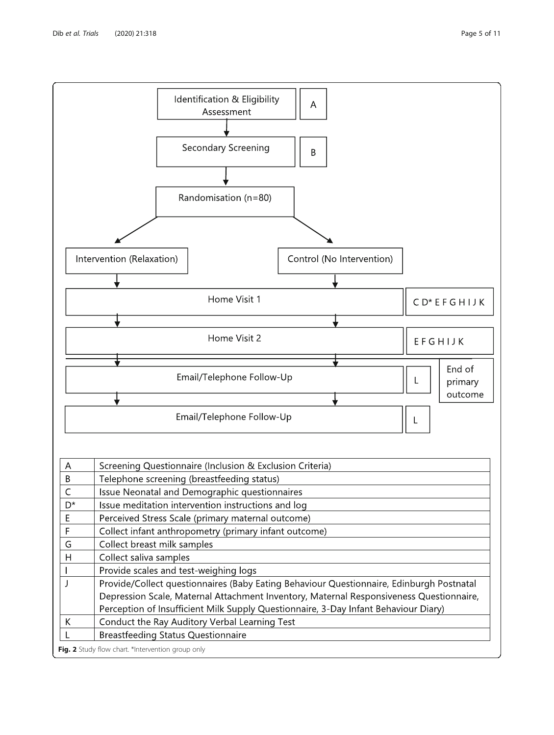<span id="page-4-0"></span>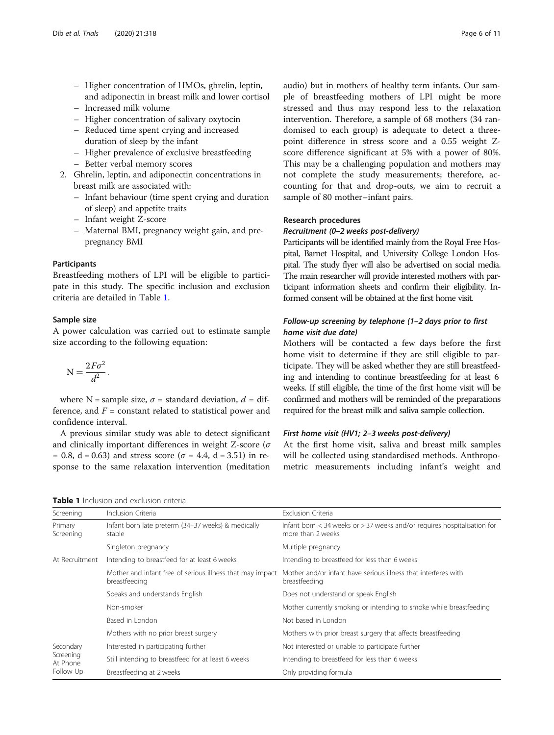- Higher concentration of HMOs, ghrelin, leptin, and adiponectin in breast milk and lower cortisol
- Increased milk volume
- Higher concentration of salivary oxytocin
- Reduced time spent crying and increased duration of sleep by the infant
- Higher prevalence of exclusive breastfeeding
- Better verbal memory scores
- 2. Ghrelin, leptin, and adiponectin concentrations in breast milk are associated with:
	- Infant behaviour (time spent crying and duration of sleep) and appetite traits
	- Infant weight Z-score
	- Maternal BMI, pregnancy weight gain, and prepregnancy BMI

# **Participants**

Breastfeeding mothers of LPI will be eligible to participate in this study. The specific inclusion and exclusion criteria are detailed in Table 1.

# Sample size

A power calculation was carried out to estimate sample size according to the following equation:

$$
N = \frac{2F\sigma^2}{d^2}.
$$

where N = sample size,  $\sigma$  = standard deviation,  $d$  = difference, and  $F =$  constant related to statistical power and confidence interval.

A previous similar study was able to detect significant and clinically important differences in weight Z-score ( $\sigma$  $= 0.8, d = 0.63$  and stress score ( $\sigma = 4.4, d = 3.51$ ) in response to the same relaxation intervention (meditation

Table 1 Inclusion and exclusion criteria

audio) but in mothers of healthy term infants. Our sample of breastfeeding mothers of LPI might be more stressed and thus may respond less to the relaxation intervention. Therefore, a sample of 68 mothers (34 randomised to each group) is adequate to detect a threepoint difference in stress score and a 0.55 weight Zscore difference significant at 5% with a power of 80%. This may be a challenging population and mothers may not complete the study measurements; therefore, accounting for that and drop-outs, we aim to recruit a sample of 80 mother–infant pairs.

# Research procedures

# Recruitment (0–2 weeks post-delivery)

Participants will be identified mainly from the Royal Free Hospital, Barnet Hospital, and University College London Hospital. The study flyer will also be advertised on social media. The main researcher will provide interested mothers with participant information sheets and confirm their eligibility. Informed consent will be obtained at the first home visit.

# Follow-up screening by telephone (1–2 days prior to first home visit due date)

Mothers will be contacted a few days before the first home visit to determine if they are still eligible to participate. They will be asked whether they are still breastfeeding and intending to continue breastfeeding for at least 6 weeks. If still eligible, the time of the first home visit will be confirmed and mothers will be reminded of the preparations required for the breast milk and saliva sample collection.

# First home visit (HV1; 2–3 weeks post-delivery)

At the first home visit, saliva and breast milk samples will be collected using standardised methods. Anthropometric measurements including infant's weight and

| <b>GMIL I</b> THERBOTT GIRL CALIBUSH CHELIC     |                                                                            |                                                                                                   |  |  |  |
|-------------------------------------------------|----------------------------------------------------------------------------|---------------------------------------------------------------------------------------------------|--|--|--|
| Screening                                       | Inclusion Criteria                                                         | <b>Exclusion Criteria</b>                                                                         |  |  |  |
| Primary<br>Screening                            | Infant born late preterm (34-37 weeks) & medically<br>stable               | Infant born $<$ 34 weeks or $>$ 37 weeks and/or requires hospitalisation for<br>more than 2 weeks |  |  |  |
|                                                 | Singleton pregnancy                                                        | Multiple pregnancy                                                                                |  |  |  |
| At Recruitment                                  | Intending to breastfeed for at least 6 weeks                               | Intending to breastfeed for less than 6 weeks                                                     |  |  |  |
|                                                 | Mother and infant free of serious illness that may impact<br>breastfeeding | Mother and/or infant have serious illness that interferes with<br>breastfeeding                   |  |  |  |
|                                                 | Speaks and understands English                                             | Does not understand or speak English                                                              |  |  |  |
|                                                 | Non-smoker                                                                 | Mother currently smoking or intending to smoke while breastfeeding                                |  |  |  |
|                                                 | Based in London                                                            | Not based in London                                                                               |  |  |  |
|                                                 | Mothers with no prior breast surgery                                       | Mothers with prior breast surgery that affects breastfeeding                                      |  |  |  |
| Secondary<br>Screening<br>At Phone<br>Follow Up | Interested in participating further                                        | Not interested or unable to participate further                                                   |  |  |  |
|                                                 | Still intending to breastfeed for at least 6 weeks                         | Intending to breastfeed for less than 6 weeks                                                     |  |  |  |
|                                                 | Breastfeeding at 2 weeks                                                   | Only providing formula                                                                            |  |  |  |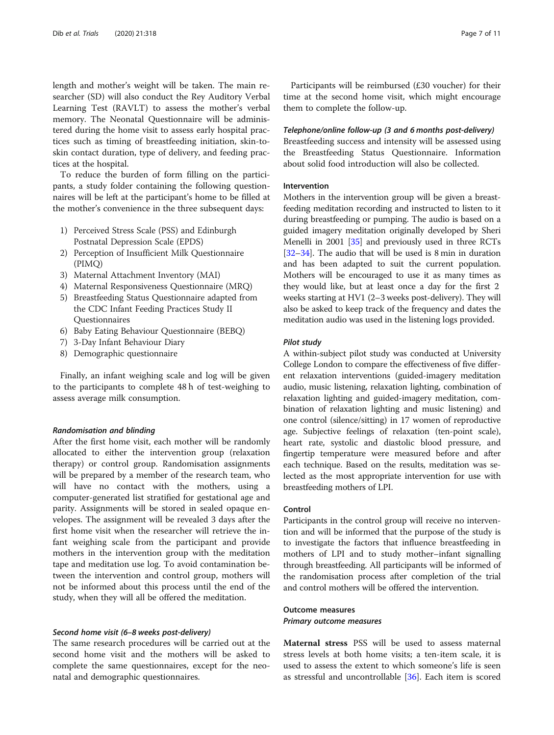length and mother's weight will be taken. The main researcher (SD) will also conduct the Rey Auditory Verbal Learning Test (RAVLT) to assess the mother's verbal memory. The Neonatal Questionnaire will be administered during the home visit to assess early hospital practices such as timing of breastfeeding initiation, skin-toskin contact duration, type of delivery, and feeding practices at the hospital.

To reduce the burden of form filling on the participants, a study folder containing the following questionnaires will be left at the participant's home to be filled at the mother's convenience in the three subsequent days:

- 1) Perceived Stress Scale (PSS) and Edinburgh Postnatal Depression Scale (EPDS)
- 2) Perception of Insufficient Milk Questionnaire (PIMQ)
- 3) Maternal Attachment Inventory (MAI)
- 4) Maternal Responsiveness Questionnaire (MRQ)
- 5) Breastfeeding Status Questionnaire adapted from the CDC Infant Feeding Practices Study II Questionnaires
- 6) Baby Eating Behaviour Questionnaire (BEBQ)
- 7) 3-Day Infant Behaviour Diary
- 8) Demographic questionnaire

Finally, an infant weighing scale and log will be given to the participants to complete 48 h of test-weighing to assess average milk consumption.

# Randomisation and blinding

After the first home visit, each mother will be randomly allocated to either the intervention group (relaxation therapy) or control group. Randomisation assignments will be prepared by a member of the research team, who will have no contact with the mothers, using a computer-generated list stratified for gestational age and parity. Assignments will be stored in sealed opaque envelopes. The assignment will be revealed 3 days after the first home visit when the researcher will retrieve the infant weighing scale from the participant and provide mothers in the intervention group with the meditation tape and meditation use log. To avoid contamination between the intervention and control group, mothers will not be informed about this process until the end of the study, when they will all be offered the meditation.

# Second home visit (6–8 weeks post-delivery)

The same research procedures will be carried out at the second home visit and the mothers will be asked to complete the same questionnaires, except for the neonatal and demographic questionnaires.

Participants will be reimbursed (£30 voucher) for their time at the second home visit, which might encourage them to complete the follow-up.

# Telephone/online follow-up (3 and 6 months post-delivery)

Breastfeeding success and intensity will be assessed using the Breastfeeding Status Questionnaire. Information about solid food introduction will also be collected.

# Intervention

Mothers in the intervention group will be given a breastfeeding meditation recording and instructed to listen to it during breastfeeding or pumping. The audio is based on a guided imagery meditation originally developed by Sheri Menelli in 2001 [\[35\]](#page-9-0) and previously used in three RCTs [[32](#page-9-0)–[34\]](#page-9-0). The audio that will be used is 8 min in duration and has been adapted to suit the current population. Mothers will be encouraged to use it as many times as they would like, but at least once a day for the first 2 weeks starting at HV1 (2–3 weeks post-delivery). They will also be asked to keep track of the frequency and dates the meditation audio was used in the listening logs provided.

### Pilot study

A within-subject pilot study was conducted at University College London to compare the effectiveness of five different relaxation interventions (guided-imagery meditation audio, music listening, relaxation lighting, combination of relaxation lighting and guided-imagery meditation, combination of relaxation lighting and music listening) and one control (silence/sitting) in 17 women of reproductive age. Subjective feelings of relaxation (ten-point scale), heart rate, systolic and diastolic blood pressure, and fingertip temperature were measured before and after each technique. Based on the results, meditation was selected as the most appropriate intervention for use with breastfeeding mothers of LPI.

### Control

Participants in the control group will receive no intervention and will be informed that the purpose of the study is to investigate the factors that influence breastfeeding in mothers of LPI and to study mother–infant signalling through breastfeeding. All participants will be informed of the randomisation process after completion of the trial and control mothers will be offered the intervention.

# Outcome measures

Primary outcome measures

Maternal stress PSS will be used to assess maternal stress levels at both home visits; a ten-item scale, it is used to assess the extent to which someone's life is seen as stressful and uncontrollable [\[36\]](#page-9-0). Each item is scored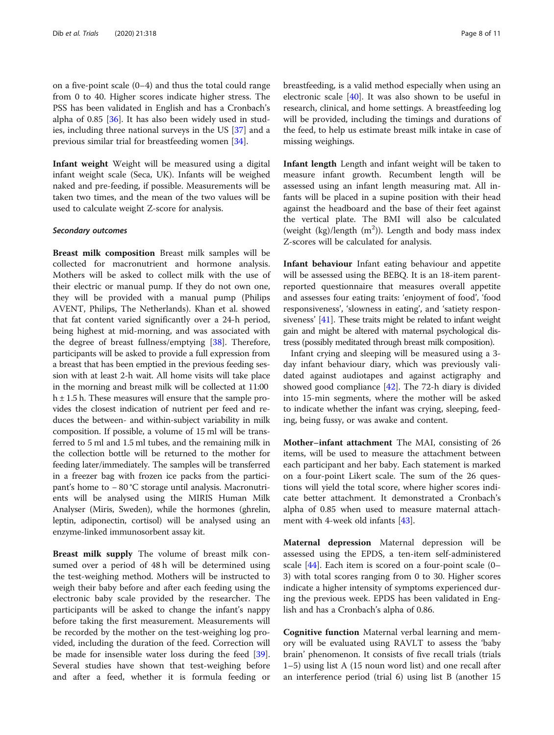on a five-point scale (0–4) and thus the total could range from 0 to 40. Higher scores indicate higher stress. The PSS has been validated in English and has a Cronbach's alpha of 0.85 [[36](#page-9-0)]. It has also been widely used in studies, including three national surveys in the US [\[37\]](#page-9-0) and a previous similar trial for breastfeeding women [[34\]](#page-9-0).

Infant weight Weight will be measured using a digital infant weight scale (Seca, UK). Infants will be weighed naked and pre-feeding, if possible. Measurements will be taken two times, and the mean of the two values will be used to calculate weight Z-score for analysis.

### Secondary outcomes

Breast milk composition Breast milk samples will be collected for macronutrient and hormone analysis. Mothers will be asked to collect milk with the use of their electric or manual pump. If they do not own one, they will be provided with a manual pump (Philips AVENT, Philips, The Netherlands). Khan et al. showed that fat content varied significantly over a 24-h period, being highest at mid-morning, and was associated with the degree of breast fullness/emptying [[38\]](#page-10-0). Therefore, participants will be asked to provide a full expression from a breast that has been emptied in the previous feeding session with at least 2-h wait. All home visits will take place in the morning and breast milk will be collected at 11:00  $h \pm 1.5$  h. These measures will ensure that the sample provides the closest indication of nutrient per feed and reduces the between- and within-subject variability in milk composition. If possible, a volume of 15 ml will be transferred to 5 ml and 1.5 ml tubes, and the remaining milk in the collection bottle will be returned to the mother for feeding later/immediately. The samples will be transferred in a freezer bag with frozen ice packs from the participant's home to − 80 °C storage until analysis. Macronutrients will be analysed using the MIRIS Human Milk Analyser (Miris, Sweden), while the hormones (ghrelin, leptin, adiponectin, cortisol) will be analysed using an enzyme-linked immunosorbent assay kit.

Breast milk supply The volume of breast milk consumed over a period of 48 h will be determined using the test-weighing method. Mothers will be instructed to weigh their baby before and after each feeding using the electronic baby scale provided by the researcher. The participants will be asked to change the infant's nappy before taking the first measurement. Measurements will be recorded by the mother on the test-weighing log provided, including the duration of the feed. Correction will be made for insensible water loss during the feed [\[39](#page-10-0)]. Several studies have shown that test-weighing before and after a feed, whether it is formula feeding or breastfeeding, is a valid method especially when using an electronic scale [[40\]](#page-10-0). It was also shown to be useful in research, clinical, and home settings. A breastfeeding log will be provided, including the timings and durations of the feed, to help us estimate breast milk intake in case of missing weighings.

Infant length Length and infant weight will be taken to measure infant growth. Recumbent length will be assessed using an infant length measuring mat. All infants will be placed in a supine position with their head against the headboard and the base of their feet against the vertical plate. The BMI will also be calculated (weight  $(kg)/length$   $(m<sup>2</sup>)$ ). Length and body mass index Z-scores will be calculated for analysis.

Infant behaviour Infant eating behaviour and appetite will be assessed using the BEBQ. It is an 18-item parentreported questionnaire that measures overall appetite and assesses four eating traits: 'enjoyment of food', 'food responsiveness', 'slowness in eating', and 'satiety responsiveness' [[41](#page-10-0)]. These traits might be related to infant weight gain and might be altered with maternal psychological distress (possibly meditated through breast milk composition).

Infant crying and sleeping will be measured using a 3 day infant behaviour diary, which was previously validated against audiotapes and against actigraphy and showed good compliance  $[42]$  $[42]$ . The 72-h diary is divided into 15-min segments, where the mother will be asked to indicate whether the infant was crying, sleeping, feeding, being fussy, or was awake and content.

Mother–infant attachment The MAI, consisting of 26 items, will be used to measure the attachment between each participant and her baby. Each statement is marked on a four-point Likert scale. The sum of the 26 questions will yield the total score, where higher scores indicate better attachment. It demonstrated a Cronbach's alpha of 0.85 when used to measure maternal attachment with 4-week old infants [\[43](#page-10-0)].

Maternal depression Maternal depression will be assessed using the EPDS, a ten-item self-administered scale [[44\]](#page-10-0). Each item is scored on a four-point scale (0– 3) with total scores ranging from 0 to 30. Higher scores indicate a higher intensity of symptoms experienced during the previous week. EPDS has been validated in English and has a Cronbach's alpha of 0.86.

Cognitive function Maternal verbal learning and memory will be evaluated using RAVLT to assess the 'baby brain' phenomenon. It consists of five recall trials (trials 1–5) using list A (15 noun word list) and one recall after an interference period (trial 6) using list B (another 15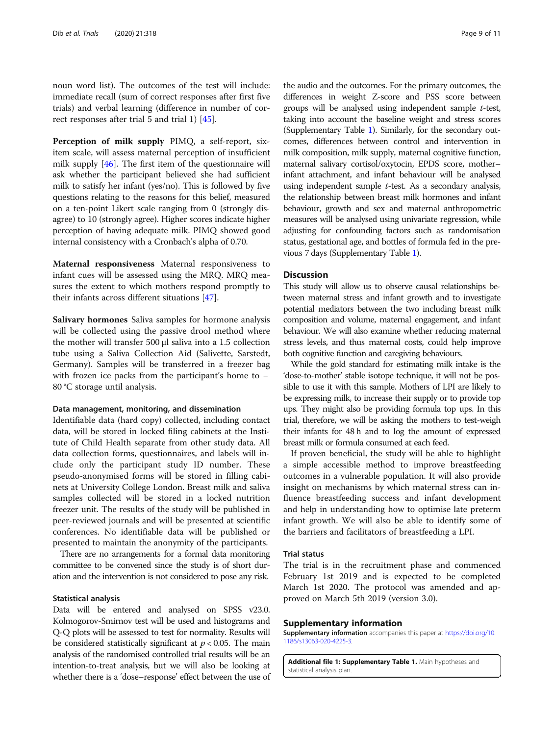noun word list). The outcomes of the test will include: immediate recall (sum of correct responses after first five trials) and verbal learning (difference in number of correct responses after trial 5 and trial 1) [[45\]](#page-10-0).

Perception of milk supply PIMQ, a self-report, sixitem scale, will assess maternal perception of insufficient milk supply [\[46\]](#page-10-0). The first item of the questionnaire will ask whether the participant believed she had sufficient milk to satisfy her infant (yes/no). This is followed by five questions relating to the reasons for this belief, measured on a ten-point Likert scale ranging from 0 (strongly disagree) to 10 (strongly agree). Higher scores indicate higher perception of having adequate milk. PIMQ showed good internal consistency with a Cronbach's alpha of 0.70.

Maternal responsiveness Maternal responsiveness to infant cues will be assessed using the MRQ. MRQ measures the extent to which mothers respond promptly to their infants across different situations [\[47](#page-10-0)].

Salivary hormones Saliva samples for hormone analysis will be collected using the passive drool method where the mother will transfer 500 μl saliva into a 1.5 collection tube using a Saliva Collection Aid (Salivette, Sarstedt, Germany). Samples will be transferred in a freezer bag with frozen ice packs from the participant's home to − 80 °C storage until analysis.

# Data management, monitoring, and dissemination

Identifiable data (hard copy) collected, including contact data, will be stored in locked filing cabinets at the Institute of Child Health separate from other study data. All data collection forms, questionnaires, and labels will include only the participant study ID number. These pseudo-anonymised forms will be stored in filling cabinets at University College London. Breast milk and saliva samples collected will be stored in a locked nutrition freezer unit. The results of the study will be published in peer-reviewed journals and will be presented at scientific conferences. No identifiable data will be published or presented to maintain the anonymity of the participants.

There are no arrangements for a formal data monitoring committee to be convened since the study is of short duration and the intervention is not considered to pose any risk.

### Statistical analysis

Data will be entered and analysed on SPSS v23.0. Kolmogorov-Smirnov test will be used and histograms and Q-Q plots will be assessed to test for normality. Results will be considered statistically significant at  $p < 0.05$ . The main analysis of the randomised controlled trial results will be an intention-to-treat analysis, but we will also be looking at whether there is a 'dose–response' effect between the use of

the audio and the outcomes. For the primary outcomes, the differences in weight Z-score and PSS score between groups will be analysed using independent sample t-test, taking into account the baseline weight and stress scores (Supplementary Table 1). Similarly, for the secondary outcomes, differences between control and intervention in milk composition, milk supply, maternal cognitive function, maternal salivary cortisol/oxytocin, EPDS score, mother– infant attachment, and infant behaviour will be analysed using independent sample  $t$ -test. As a secondary analysis, the relationship between breast milk hormones and infant behaviour, growth and sex and maternal anthropometric measures will be analysed using univariate regression, while adjusting for confounding factors such as randomisation status, gestational age, and bottles of formula fed in the previous 7 days (Supplementary Table 1).

### **Discussion**

This study will allow us to observe causal relationships between maternal stress and infant growth and to investigate potential mediators between the two including breast milk composition and volume, maternal engagement, and infant behaviour. We will also examine whether reducing maternal stress levels, and thus maternal costs, could help improve both cognitive function and caregiving behaviours.

While the gold standard for estimating milk intake is the 'dose-to-mother' stable isotope technique, it will not be possible to use it with this sample. Mothers of LPI are likely to be expressing milk, to increase their supply or to provide top ups. They might also be providing formula top ups. In this trial, therefore, we will be asking the mothers to test-weigh their infants for 48 h and to log the amount of expressed breast milk or formula consumed at each feed.

If proven beneficial, the study will be able to highlight a simple accessible method to improve breastfeeding outcomes in a vulnerable population. It will also provide insight on mechanisms by which maternal stress can influence breastfeeding success and infant development and help in understanding how to optimise late preterm infant growth. We will also be able to identify some of the barriers and facilitators of breastfeeding a LPI.

# Trial status

The trial is in the recruitment phase and commenced February 1st 2019 and is expected to be completed March 1st 2020. The protocol was amended and approved on March 5th 2019 (version 3.0).

### Supplementary information

Supplementary information accompanies this paper at [https://doi.org/10.](https://doi.org/10.1186/s13063-020-4225-3) [1186/s13063-020-4225-3.](https://doi.org/10.1186/s13063-020-4225-3)

Additional file 1: Supplementary Table 1. Main hypotheses and statistical analysis plan.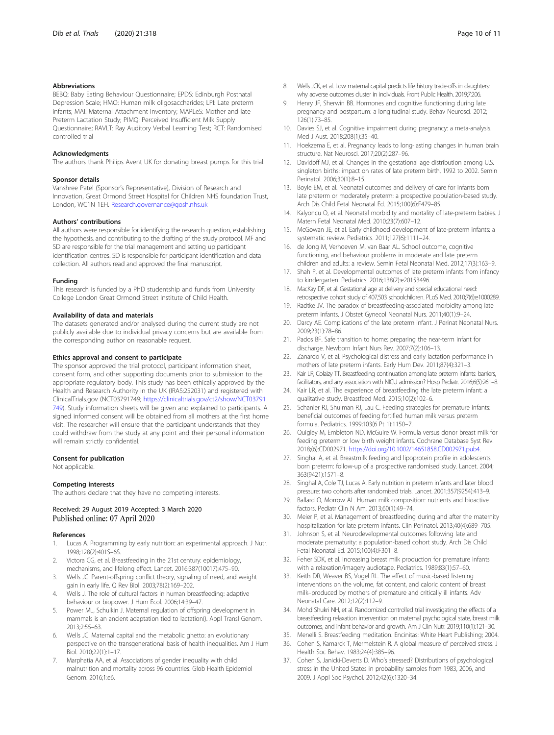### <span id="page-9-0"></span>Abbreviations

BEBQ: Baby Eating Behaviour Questionnaire; EPDS: Edinburgh Postnatal Depression Scale; HMO: Human milk oligosaccharides; LPI: Late preterm infants; MAI: Maternal Attachment Inventory; MAPLeS: Mother and late Preterm Lactation Study; PIMQ: Perceived Insufficient Milk Supply Questionnaire; RAVLT: Ray Auditory Verbal Learning Test; RCT: Randomised controlled trial

### Acknowledgments

The authors thank Philips Avent UK for donating breast pumps for this trial.

### Sponsor details

Vanshree Patel (Sponsor's Representative), Division of Research and Innovation, Great Ormond Street Hospital for Children NHS foundation Trust, London, WC1N 1EH. [Research.governance@gosh.nhs.uk](mailto:Research.governance@gosh.nhs.uk)

#### Authors' contributions

All authors were responsible for identifying the research question, establishing the hypothesis, and contributing to the drafting of the study protocol. MF and SD are responsible for the trial management and setting up participant identification centres. SD is responsible for participant identification and data collection. All authors read and approved the final manuscript.

### Funding

This research is funded by a PhD studentship and funds from University College London Great Ormond Street Institute of Child Health.

### Availability of data and materials

The datasets generated and/or analysed during the current study are not publicly available due to individual privacy concerns but are available from the corresponding author on reasonable request.

#### Ethics approval and consent to participate

The sponsor approved the trial protocol, participant information sheet, consent form, and other supporting documents prior to submission to the appropriate regulatory body. This study has been ethically approved by the Health and Research Authority in the UK (IRAS:252031) and registered with ClinicalTrials.gov (NCT03791749; [https://clinicaltrials.gov/ct2/show/NCT03791](https://clinicaltrials.gov/ct2/show/NCT03791749) [749](https://clinicaltrials.gov/ct2/show/NCT03791749)). Study information sheets will be given and explained to participants. A signed informed consent will be obtained from all mothers at the first home visit. The researcher will ensure that the participant understands that they could withdraw from the study at any point and their personal information will remain strictly confidential.

### Consent for publication

Not applicable.

### Competing interests

The authors declare that they have no competing interests.

### Received: 29 August 2019 Accepted: 3 March 2020 Published online: 07 April 2020

#### References

- Lucas A. Programming by early nutrition: an experimental approach. J Nutr. 1998;128(2):401S–6S.
- 2. Victora CG, et al. Breastfeeding in the 21st century: epidemiology, mechanisms, and lifelong effect. Lancet. 2016;387(10017):475–90.
- 3. Wells JC. Parent-offspring conflict theory, signaling of need, and weight gain in early life. Q Rev Biol. 2003;78(2):169–202.
- 4. Wells J. The role of cultural factors in human breastfeeding: adaptive behaviour or biopower. J Hum Ecol. 2006;14:39–47.
- 5. Power ML, Schulkin J. Maternal regulation of offspring development in mammals is an ancient adaptation tied to lactation(). Appl Transl Genom. 2013;2:55–63.
- 6. Wells JC. Maternal capital and the metabolic ghetto: an evolutionary perspective on the transgenerational basis of health inequalities. Am J Hum Biol. 2010;22(1):1–17.
- 7. Marphatia AA, et al. Associations of gender inequality with child malnutrition and mortality across 96 countries. Glob Health Epidemiol Genom. 2016;1:e6.
- 8. Wells JCK, et al. Low maternal capital predicts life history trade-offs in daughters: why adverse outcomes cluster in individuals. Front Public Health. 2019;7:206.
- Henry JF, Sherwin BB. Hormones and cognitive functioning during late pregnancy and postpartum: a longitudinal study. Behav Neurosci. 2012; 126(1):73–85.
- 10. Davies SJ, et al. Cognitive impairment during pregnancy: a meta-analysis. Med J Aust. 2018;208(1):35–40.
- 11. Hoekzema E, et al. Pregnancy leads to long-lasting changes in human brain structure. Nat Neurosci. 2017;20(2):287–96.
- 12. Davidoff MJ, et al. Changes in the gestational age distribution among U.S. singleton births: impact on rates of late preterm birth, 1992 to 2002. Semin Perinatol. 2006;30(1):8–15.
- 13. Boyle EM, et al. Neonatal outcomes and delivery of care for infants born late preterm or moderately preterm: a prospective population-based study. Arch Dis Child Fetal Neonatal Ed. 2015;100(6):F479–85.
- 14. Kalyoncu O, et al. Neonatal morbidity and mortality of late-preterm babies. J Matern Fetal Neonatal Med. 2010;23(7):607–12.
- 15. McGowan JE, et al. Early childhood development of late-preterm infants: a systematic review. Pediatrics. 2011;127(6):1111–24.
- 16. de Jong M, Verhoeven M, van Baar AL. School outcome, cognitive functioning, and behaviour problems in moderate and late preterm children and adults: a review. Semin Fetal Neonatal Med. 2012;17(3):163–9.
- 17. Shah P, et al. Developmental outcomes of late preterm infants from infancy to kindergarten. Pediatrics. 2016;138(2):e20153496.
- MacKay DF, et al. Gestational age at delivery and special educational need: retrospective cohort study of 407,503 schoolchildren. PLoS Med. 2010;7(6):e1000289.
- 19. Radtke JV. The paradox of breastfeeding-associated morbidity among late preterm infants. J Obstet Gynecol Neonatal Nurs. 2011;40(1):9–24.
- 20. Darcy AE. Complications of the late preterm infant. J Perinat Neonatal Nurs. 2009;23(1):78–86.
- 21. Pados BF. Safe transition to home: preparing the near-term infant for discharge. Newborn Infant Nurs Rev. 2007;7(2):106–13.
- 22. Zanardo V, et al. Psychological distress and early lactation performance in mothers of late preterm infants. Early Hum Dev. 2011;87(4):321–3.
- 23. Kair LR, Colaizy TT. Breastfeeding continuation among late preterm infants: barriers, facilitators, and any association with NICU admission? Hosp Pediatr. 2016;6(5):261–8.
- 24. Kair LR, et al. The experience of breastfeeding the late preterm infant: a qualitative study. Breastfeed Med. 2015;10(2):102–6.
- 25. Schanler RJ, Shulman RJ, Lau C. Feeding strategies for premature infants: beneficial outcomes of feeding fortified human milk versus preterm formula. Pediatrics. 1999;103(6 Pt 1):1150–7.
- 26. Quigley M, Embleton ND, McGuire W. Formula versus donor breast milk for feeding preterm or low birth weight infants. Cochrane Database Syst Rev. 2018;(6):CD002971. <https://doi.org/10.1002/14651858.CD002971.pub4>.
- 27. Singhal A, et al. Breastmilk feeding and lipoprotein profile in adolescents born preterm: follow-up of a prospective randomised study. Lancet. 2004; 363(9421):1571–8.
- 28. Singhal A, Cole TJ, Lucas A. Early nutrition in preterm infants and later blood pressure: two cohorts after randomised trials. Lancet. 2001;357(9254):413–9.
- 29. Ballard O, Morrow AL. Human milk composition: nutrients and bioactive factors. Pediatr Clin N Am. 2013;60(1):49–74.
- 30. Meier P, et al. Management of breastfeeding during and after the maternity hospitalization for late preterm infants. Clin Perinatol. 2013;40(4):689–705.
- 31. Johnson S, et al. Neurodevelopmental outcomes following late and moderate prematurity: a population-based cohort study. Arch Dis Child Fetal Neonatal Ed. 2015;100(4):F301–8.
- 32. Feher SDK, et al. Increasing breast milk production for premature infants with a relaxation/imagery audiotape. Pediatrics. 1989;83(1):57–60.
- 33. Keith DR, Weaver BS, Vogel RL. The effect of music-based listening interventions on the volume, fat content, and caloric content of breast milk–produced by mothers of premature and critically ill infants. Adv Neonatal Care. 2012;12(2):112–9.
- 34. Mohd Shukri NH, et al. Randomized controlled trial investigating the effects of a breastfeeding relaxation intervention on maternal psychological state, breast milk outcomes, and infant behavior and growth. Am J Clin Nutr. 2019;110(1):121–30.
- 35. Menelli S. Breastfeeding meditation. Encinitas: White Heart Publishing; 2004.
- 36. Cohen S, Kamarck T, Mermelstein R. A global measure of perceived stress. J Health Soc Behav. 1983;24(4):385–96.
- 37. Cohen S, Janicki-Deverts D. Who's stressed? Distributions of psychological stress in the United States in probability samples from 1983, 2006, and 2009. J Appl Soc Psychol. 2012;42(6):1320–34.